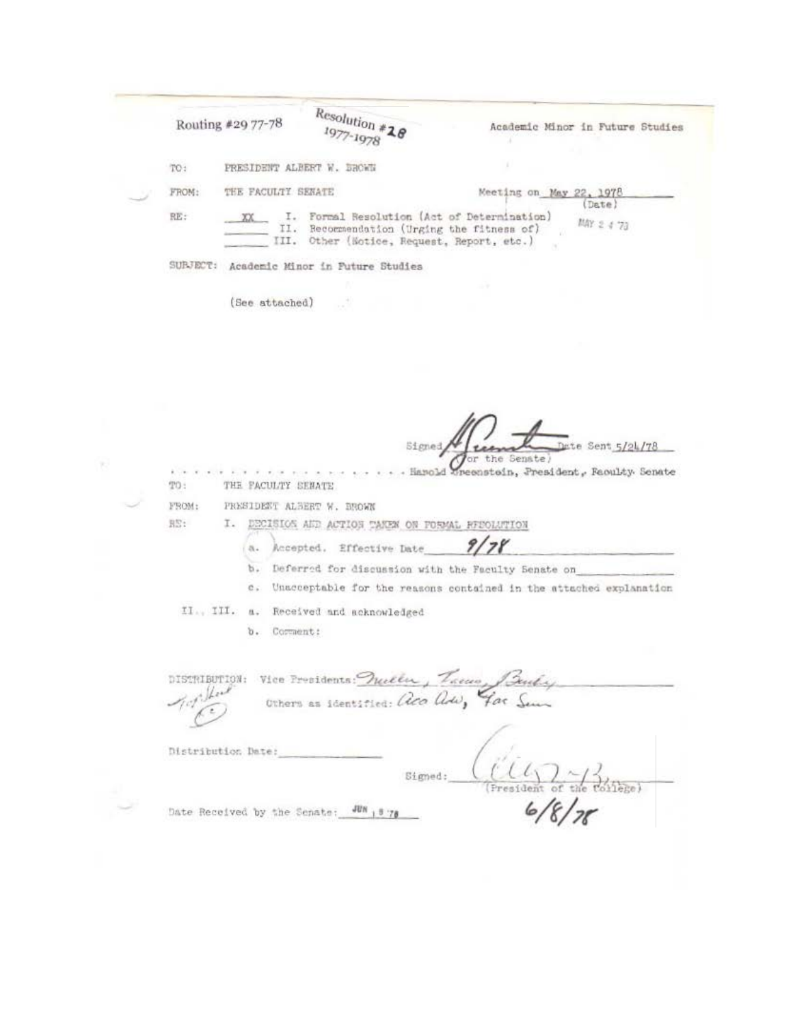| Routing #29 77-78  |                    | $Resolution *20$<br>$7 - 1978$                                                                                                      | Academic Minor in Future Studies                                   |
|--------------------|--------------------|-------------------------------------------------------------------------------------------------------------------------------------|--------------------------------------------------------------------|
| TO:                |                    | PRESIDENT ALBERT W. DROWN                                                                                                           |                                                                    |
| FROM:              | THE FACULTY SENATE |                                                                                                                                     | Meeting on May 22, 1978                                            |
| RE:<br>XX          | 11.                | I. Formal Resolution (Act of Determination)<br>Recommendation (Urging the fitness of)<br>III. Other (Notice, Request, Report, etc.) | (Date)<br>MAY 2 4 73                                               |
|                    |                    | SUBJECT: Academic Minor in Future Studies                                                                                           |                                                                    |
|                    |                    |                                                                                                                                     |                                                                    |
|                    | (See attached)     |                                                                                                                                     |                                                                    |
|                    |                    |                                                                                                                                     |                                                                    |
|                    |                    |                                                                                                                                     |                                                                    |
|                    |                    |                                                                                                                                     |                                                                    |
|                    |                    |                                                                                                                                     |                                                                    |
|                    |                    |                                                                                                                                     |                                                                    |
|                    |                    |                                                                                                                                     |                                                                    |
|                    |                    |                                                                                                                                     |                                                                    |
|                    |                    | Signed                                                                                                                              | Date Sent 5/24/78                                                  |
|                    |                    |                                                                                                                                     |                                                                    |
|                    |                    |                                                                                                                                     |                                                                    |
|                    |                    |                                                                                                                                     | the Senate)                                                        |
| TO:                | THE FACULTY SENATE |                                                                                                                                     | - Harold Unecastoin, President, Faculty Senate                     |
|                    |                    |                                                                                                                                     |                                                                    |
| FROM:              |                    | PRESIDENT ALBERT W. BROWN                                                                                                           |                                                                    |
| BS:                |                    | I. DECISIOS AND ACTION TAKEN ON POSMAL REPOLUTION                                                                                   |                                                                    |
| a.                 |                    | Accepted. Effective Date                                                                                                            |                                                                    |
| b.                 |                    |                                                                                                                                     | Deferred for discussion with the Faculty Senate on                 |
| C.                 |                    |                                                                                                                                     |                                                                    |
|                    |                    |                                                                                                                                     | Unacceptable for the reasons contained in the attached explanation |
|                    |                    | II., III. a. Received and acknowledged                                                                                              |                                                                    |
| 0.1                | Corment:           |                                                                                                                                     |                                                                    |
|                    |                    |                                                                                                                                     |                                                                    |
|                    |                    |                                                                                                                                     |                                                                    |
|                    |                    | DISTRIBUTION: Vice Providents: Muller, Treme, Buchy                                                                                 |                                                                    |
|                    |                    |                                                                                                                                     |                                                                    |
|                    |                    | Others as identified: aca adu, Far Sun                                                                                              |                                                                    |
|                    |                    |                                                                                                                                     |                                                                    |
| Distribution Date: |                    |                                                                                                                                     |                                                                    |
|                    |                    |                                                                                                                                     |                                                                    |
|                    |                    | Signed:                                                                                                                             |                                                                    |
|                    |                    | Date Received by the Senate: WW 15 78                                                                                               |                                                                    |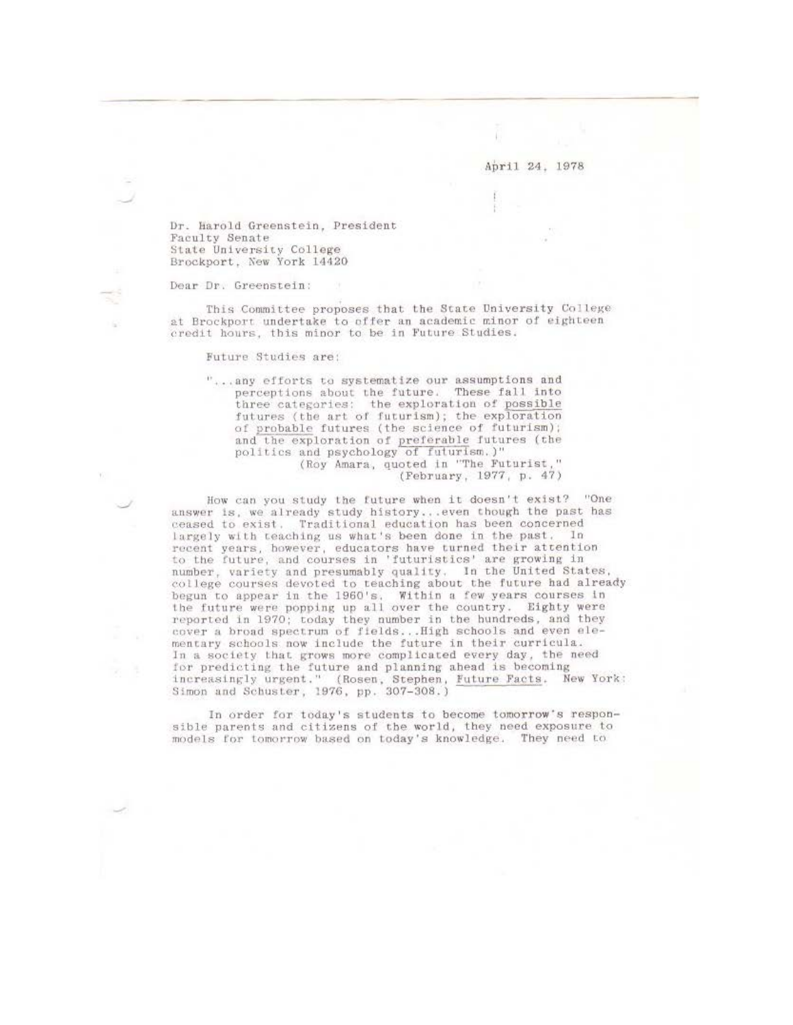Dr. Harold Greenstein, President Faculty Senate State University College Brockport, New York 14420

#### Dear Dr. Greenstein:

This Committee proposes that the State University College at Brockport undertake to offer an academic minor of eighteen credit hours, this minor to be in Future Studies.

Future Studies are:

"... any efforts to systematize our assumptions and perceptions about the future. These fall into three categories: the exploration of possible futures (the art of futurism); the exploration of probable futures (the science of futurism); and the exploration of preferable futures (the politics and psychology of futurism.)"<br>(Roy Amara, quoted in "The Futurist," (February, 1977, p. 47)

How can you study the future when it doesn't exist? "One answer is, we already study history...even though the past has ceased to exist. Traditional education has been concerned largely with teaching us what's been done in the past. In recent years, however, educators have turned their attention<br>to the future, and courses in 'futuristics' are growing in<br>number, variety and presumably quality. In the United States, college courses devoted to teaching about the future had already begun to appear in the 1960's. Within a few years courses in<br>the future were popping up all over the country. Eighty were reported in 1970; today they number in the hundreds, and they cover a broad spectrum of fields... High schools and even elementary schools now include the future in their curricula. In a society that grows more complicated every day, the need for predicting the future and planning ahead is becoming increasingly urgent." (Rosen, Stephen, Future Facts. New York:<br>Simon and Schuster, 1976, pp. 307-308.)

In order for today's students to become tomorrow's responsible parents and citizens of the world, they need exposure to models for tomorrow based on today's knowledge. They need to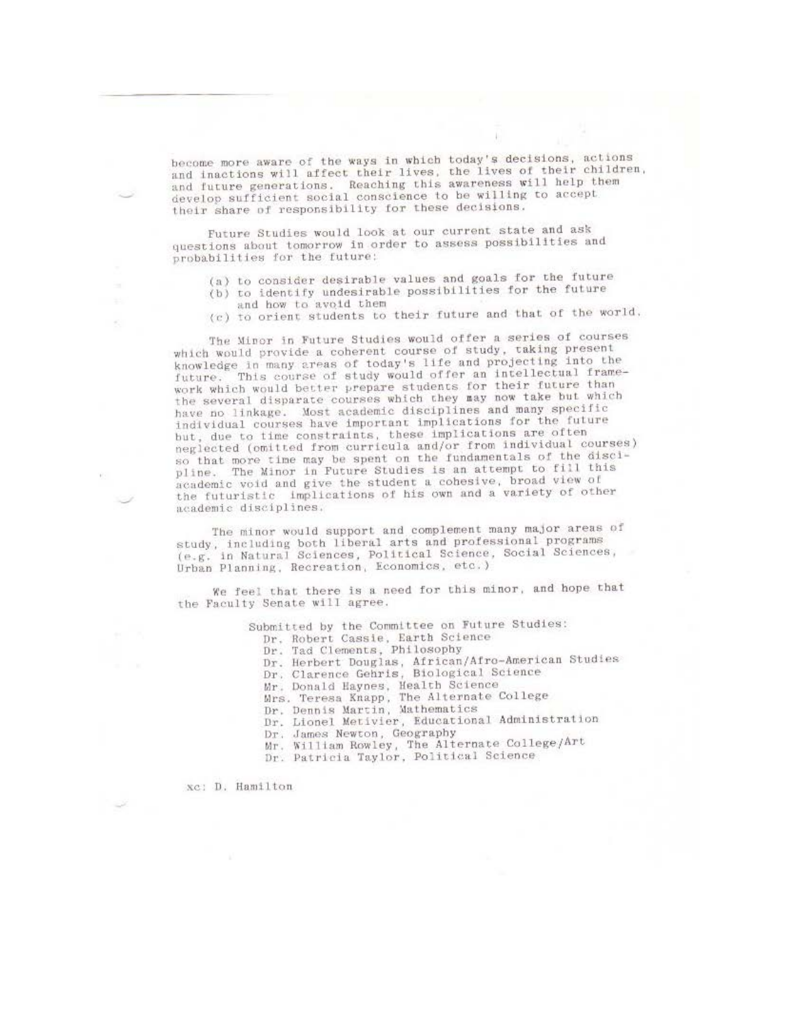become more aware of the ways in which today's decisions, actions and inactions will affect their lives, the lives of their children, and future generations. Reaching this awareness will help them develop sufficient social conscience to be willing to accept their share of responsibility for these decisions.

Future Studies would look at our current state and ask questions about tomorrow in order to assess possibilities and probabilities for the future:

- (a) to consider desirable values and goals for the future
- (b) to identify undesirable possibilities for the future and how to avoid them
- (c) to orient students to their future and that of the world.

The Minor in Future Studies would offer a series of courses which would provide a coherent course of study, taking present knowledge in many areas of today's life and projecting into the This course of study would offer an intellectual framefuture. work which would better prepare students for their future than the several disparate courses which they may now take but which have no linkage. Most academic disciplines and many specific individual courses have important implications for the future but, due to time constraints, these implications are often neglected (omitted from curricula and/or from individual courses) so that more time may be spent on the fundamentals of the discipline. The Minor in Future Studies is an attempt to fill this academic void and give the student a cohesive, broad view of the futuristic implications of his own and a variety of other academic disciplines.

The minor would support and complement many major areas of study, including both liberal arts and professional programs (e.g. in Natural Sciences, Political Science, Social Sciences, Urban Planning, Recreation, Economics, etc.)

We feel that there is a need for this minor, and hope that the Faculty Senate will agree.

Submitted by the Committee on Future Studies:

Dr. Robert Cassie, Earth Science<br>Dr. Tad Clements, Philosophy

Dr. Herbert Douglas, African/Afro-American Studies

Dr. Clarence Gehris, Biological Science

Mr. Donald Haynes, Health Science<br>Mrs. Teresa Knapp, The Alternate College<br>Dr. Dennis Martin, Mathematics

Dr. Lionel Metivier, Educational Administration

Dr. James Newton, Geography

Mr. William Rowley, The Alternate College/Art<br>Dr. Patricia Taylor, Political Science

xc: D. Hamilton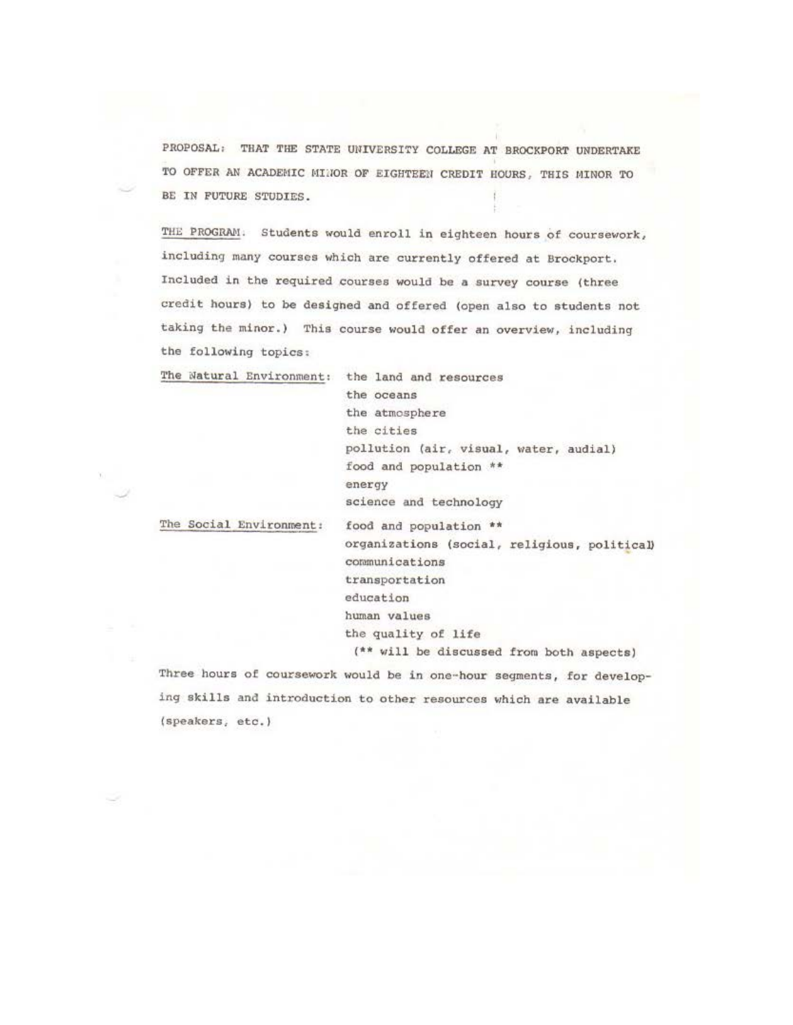PROPOSAL: THAT THE STATE UNIVERSITY COLLEGE AT BROCKPORT UNDERTAKE TO OFFER AN ACADEMIC MINOR OF EIGHTEEN CREDIT HOURS, THIS MINOR TO BE IN FUTURE STUDIES.

THE PROGRAM. Students would enroll in eighteen hours of coursework, including many courses which are currently offered at Brockport. Included in the required courses would be a survey course (three credit hours) to be desighed and offered (open also to students not taking the minor.) This course would offer an overview, including the following topics;

The Natural Environment: the land and resources

the oceans the atmosphere the cities pollution (air, visual, water, audial) food and population \*\* energy science **and** technology

The Social £nvironment:

food and population \*\* organizations (social, religious, political) communications transportation education human values the quality **of life**  (\*\* will be discussed from both aspects)

Three hours of coursework would be in one-hour segments, for developing skills and introduction to other resources which are available (speakers, etc.)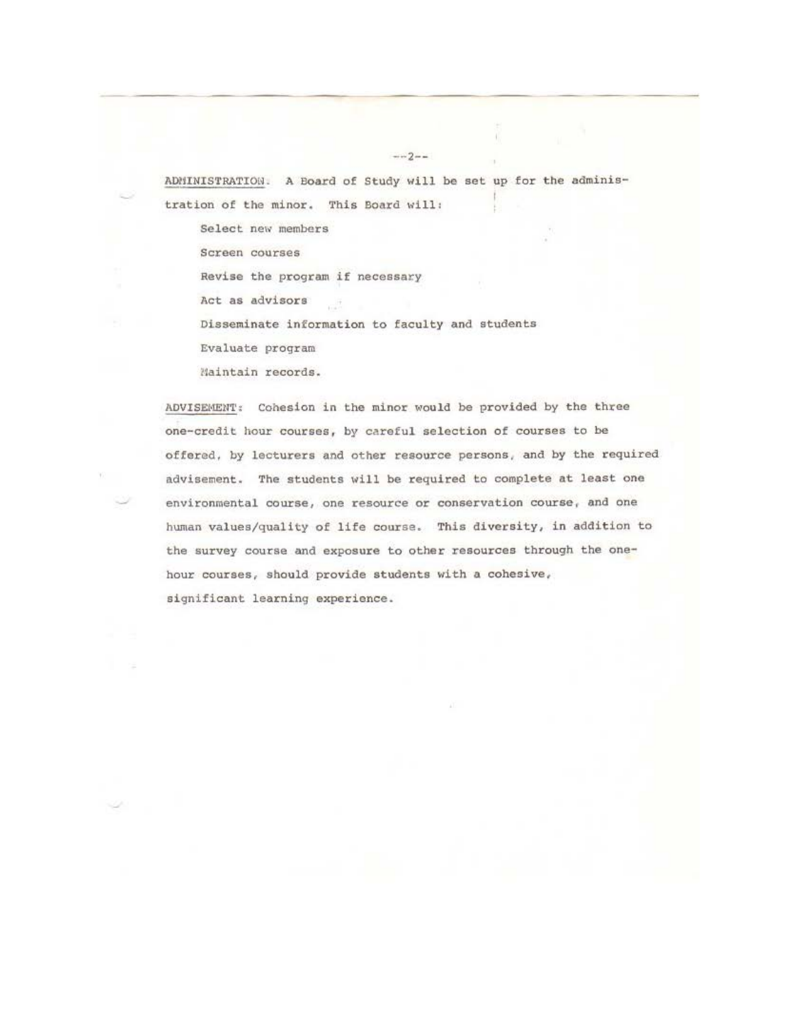ADMINISTRATION. A Board of Study will be set up for the administration of the minor. This Board will:

 $-2-$ 

Select new members Screen courses Revise the program if necessary Act as advisors  $+17$ Disseminate information to faculty and students Evaluate program Maintain records.

ADVISEMENT: Cohesion in the minor would be provided by the three one-credit hour courses, by careful selection of courses to be offered, by lecturers and other resource persons, and by the required advisement. The students will be required to complete at least one environmental course, one resource or conservation course, and one human values/quality of life course. This diversity, in addition to the survey course and exposure to other resources through the onehour courses, should provide students with a cohesive, significant learning experience.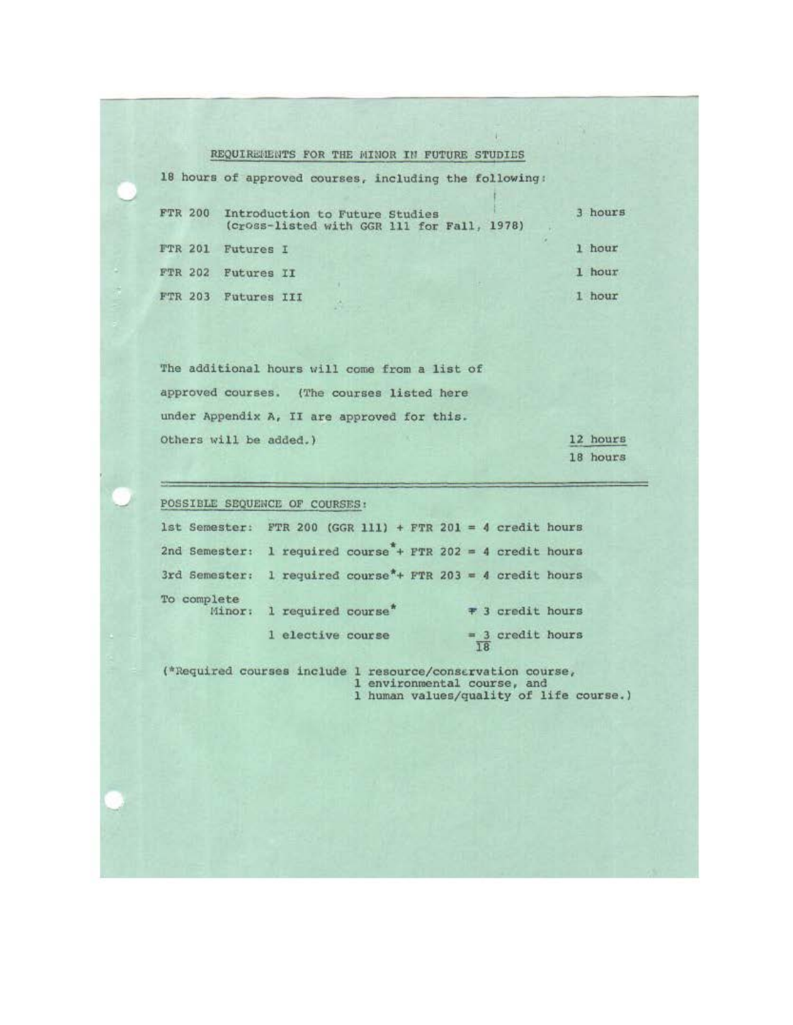# REQUIREMENTS FOR THE MINOR IN FUTURE STUDIES

|                | 18 hours of approved courses, including the following:                               |         |
|----------------|--------------------------------------------------------------------------------------|---------|
|                | FTR 200 Introduction to Future Studies<br>(cross-listed with GGR 111 for Fall, 1978) | 3 hours |
| <b>FTR 201</b> | Futures I                                                                            | 1 hour  |
|                | FTR 202 Futures II                                                                   | 1 hour  |
| FTR 203        | <b>Futures III</b>                                                                   | hour    |

**The additional hours uill come from a liat of approved courses. (The courses listed here under Appendix A, II are approved for this.**  Others will be added.)

12 hours 18 hours

POSSIBLE SEQUENCE OF COURSES:

|             | 1st Semester: FTR 200 (GGR 111) + FTR 201 = 4 credit hours              |                          |
|-------------|-------------------------------------------------------------------------|--------------------------|
|             | 2nd Semester: 1 required course + FTR 202 = 4 credit hours              |                          |
|             | 3rd Semester: 1 required course <sup>*</sup> + FTR 203 = 4 credit hours |                          |
| To complete | Minor: 1 required course*                                               | # 3 credit hours         |
|             | 1 elective course                                                       | $=$ 3 credit hours<br>18 |

(\*Required courses include 1 resource/conservation course, **1 environmental course, and**  l human values/quality of life course.)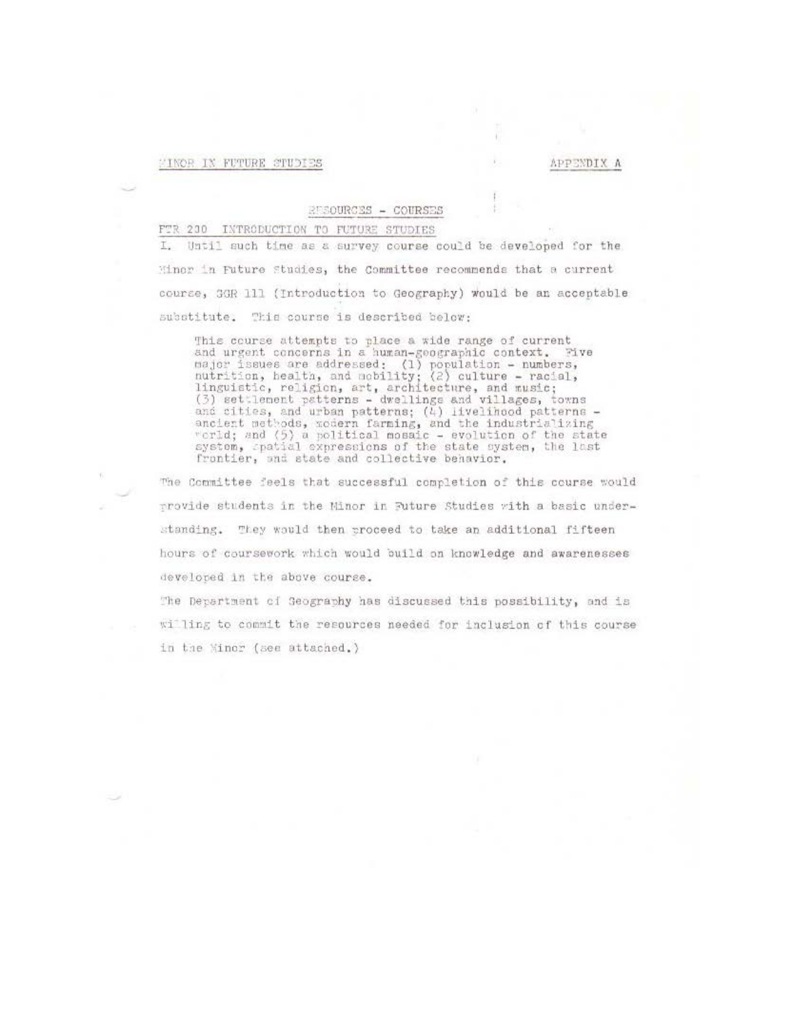# MINOR IN FUTURE STUDIES

## APPENDIX A

### RUSOURCES - COURSES

### FTR 230 INTRODUCTION TO FUTURE STUDIES

Until such time as a survey course could be developed for the Minor in Future Studies, the Committee recommends that a current course, 3GR 111 (Introduction to Geography) would be an acceptable substitute. This course is described below:

This course attempts to place a wide range of current and urgent concerns in a human-geographic context. Five major issues are addressed: (1) population - numbers,<br>nutrition, health, and mobility; (2) culture - racial,<br>linguistic, religion, art, architecture, and music;<br>(3) settlement patterns - dwellings and villages, towns and cities, and urban patterns; (4) livelihood patterns -<br>ancient methods, wodern farming, and the industrializing<br>verid; and (5) a political mosaic - evolution of the state<br>system, spatial expressions of the state system, frontier, and state and collective behavior.

The Committee feels that successful completion of this course would provide students in the Minor in Puture Studies with a basic understanding. They would then proceed to take an additional fifteen hours of coursework which would build on knowledge and awarenesses developed in the above course.

The Department of Geography has discussed this possibility, and is willing to commit the resources needed for inclusion of this course in the Minor (see attached.)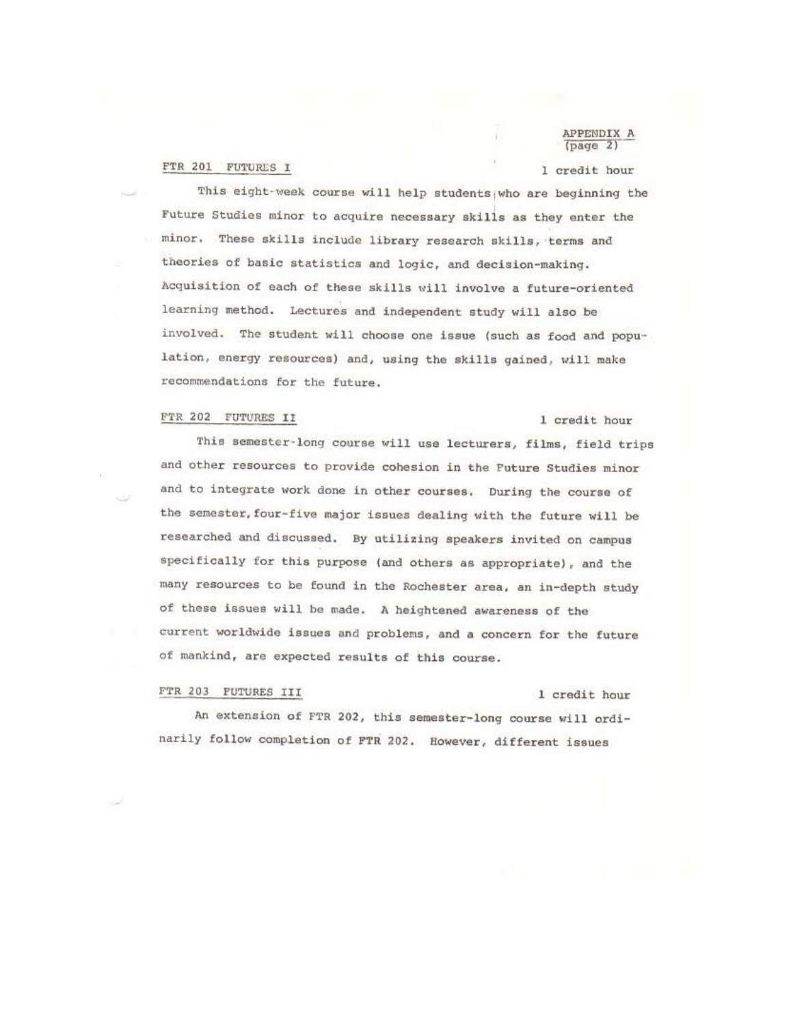FTR 201 FUTURES I

### APPENDIX A  $(page 2)$

## l credit hour

This eight-week course will help students who are beginning the Future Studies minor to acquire necessary skills as they enter the minor. These skills include library research skills, terms and theories of basic statistics and logic, and decision-making. Acquisition of each of these skills will involve a future-oriented learning method. Lectures and independent study will also be involved. The student will choose one issue (such as food and population, energy resources) and, using the skills gained, will make recommendations for the future.

# FTR 202 FUTURES II 1 credit hour

This semester-long course will use lecturers, films, field trips and other resources to provide cohesion in the Future Studies minor and to integrate work done in other courses. During the course of the semester, four-five major issues dealing with the future will be researched and discussed. By utilizing speakers invited on campus specifically for this purpose (and others as appropriate), and the many resources to be found in the Rochester area, an in-depth study of these issues will be made. A heightened awareness of the current worldwide issues and problems, and a concern for tho future of mankind, are expected reaults of this course.

# FTR 203 FUTURES III 1 credit hour

An extension of FTR 202, this semester-long course will ordinarily follow completion of FTR 202. However, different issues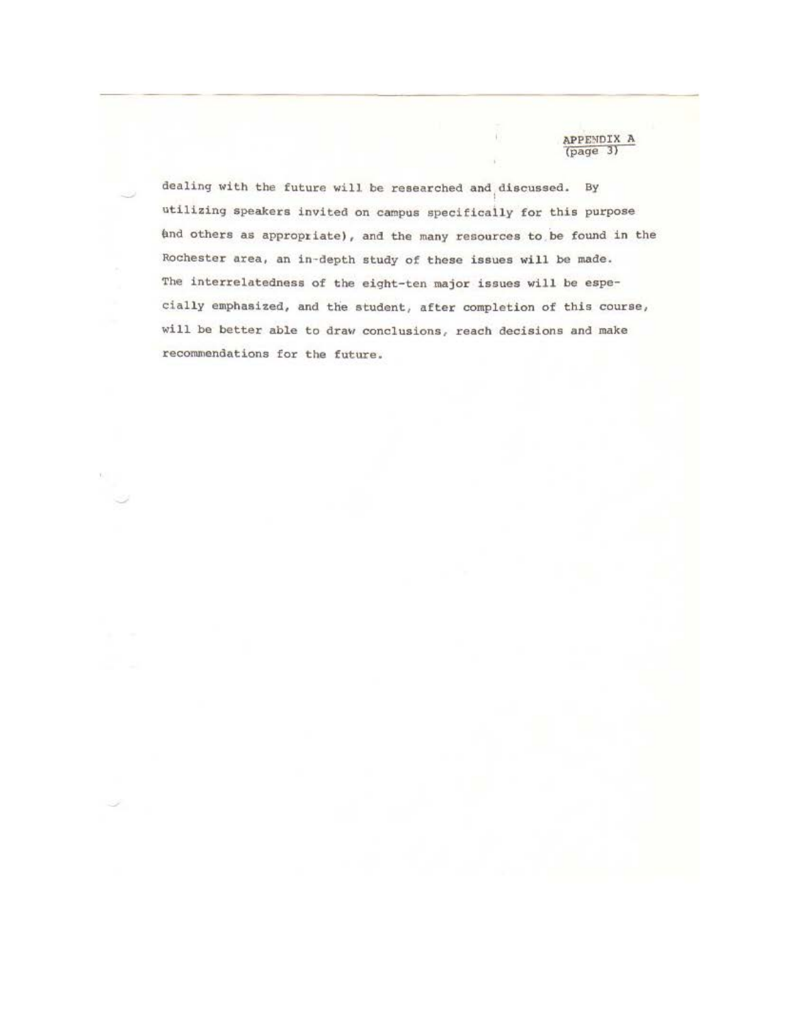APPENDIX A (page **3)** 

dealing with the future will be researched and discussed. By utilizing speakers invited on campus epecificaily for this purpose And others as appropriate), and the many resources to be found in the Rochester area, an in-depth study of these issues will be made. The interrelatedness of the eight-ten major issues will be especially emphasized, and the student, after completion of this course, will be better able to draw conclusions, reach decisions and make recommendations for the future.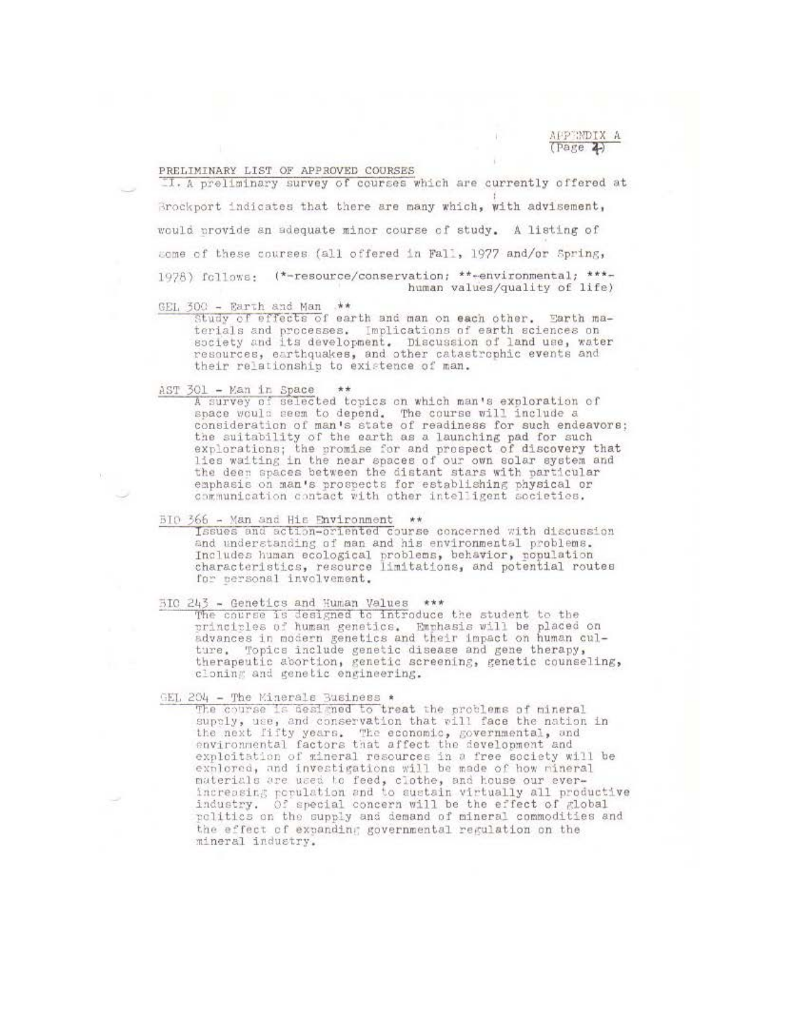APPENDIX A  $(Page 2)$ 

### PRELIMINARY LIST OF APPROVED COURSES

I. A preliminary survey of courses which are currently offered at Brockport indicates that there are many which, with advisement, would provide an adequate minor course of study. A listing of some of these courses (all offered in Fall, 1977 and/or Spring, 1978) follows: (\*-resource/conservation; \*\*-environmental; \*\*\*human values/quality of life)

# GEL 300 - Earth and Man \*\*

Study of effects of earth and man on each other. Earth materials and processes. Implications of earth sciences on society and its development. Discussion of land use, water<br>resources, earthquakes, and other catastrophic events and their relationship to existence of man.

 $\frac{\text{AST 301 - Kan in Space}}{\text{A survey of selected topics on which man's exploration of}}$ space would seem to depend. The course will include a consideration of man's state of readiness for such endeavors: the suitability of the earth as a launching pad for such explorations; the promise for and prospect of discovery that<br>lies waiting in the near spaces of our own solar system and the deen spaces between the distant stars with particular emphasis on man's prospects for establishing physical or communication contact with other intelligent societies.

#### BIO 366 - Man and His Environment \*\*

Issues and action-oriented course concerned with discussion and understanding of man and his environmental problems. Includes human ecological problems, behavior, population<br>characteristics, resource limitations, and potential routes for personal involvement.

# BIO 243 - Genetics and Human Values \*\*\*

The course is designed to introduce the student to the<br>principles of human genetics. Emphasis will be placed on<br>advances in modern genetics and their impact on human culture. Topics include genetic disease and gene therapy, therapeutic abortion, genetic screening, genetic counseling, cloning and genetic engineering.

GEL 204 - The Minerals Business \*<br>The course is designed to treat the problems of mineral supply, use, and conservation that will face the nation in the next fifty years. The economic, governmental, and<br>environmental factors that affect the development and exploitation of mineral resources in a free society will be explored, and investigations will be made of how mineral materials are used to feed, clothe, and house our ever-<br>increasing population and to sustain virtually all productive industry. Of special concern will be the effect of global rolitics on the supply and demand of mineral commodities and the effect of expanding governmental regulation on the mineral industry.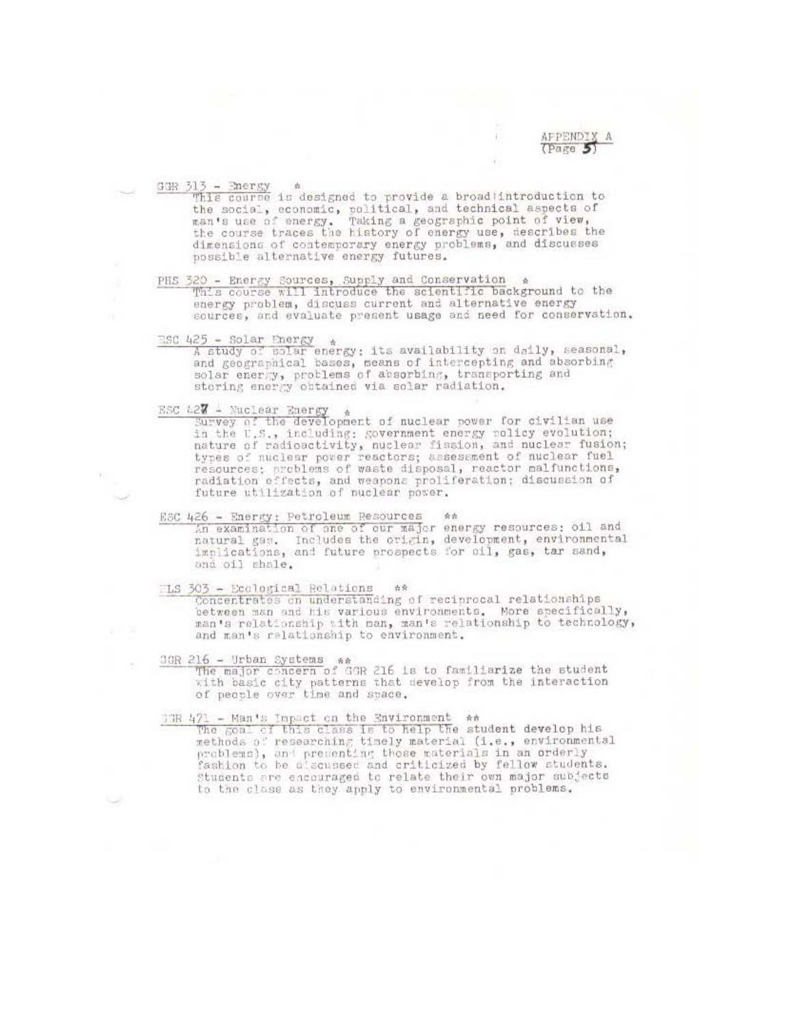APPENDIX A  $(P<sub>are</sub> 5)$ 

 $\frac{33B}{313}$  - Energy a designed to provide a broad introduction to the social, economic, political, and technical aspects of man's use of energy. Taking a geographic point of view,<br>the course traces the history of energy use, describes the<br>dimensions of contemporary energy problems, and discusses possible alternative energy futures.

# PHS 320 - Energy Sources, Supply and Conservation a This course will introduce the scientific background to the energy problem, discuss current and alternative energy sources, and evaluate present usage and need for conservation.

ESC 425 - Solar Energy

A study of solar energy: its availability on daily, seasonal, and geographical bases, means of intercepting and absorbing<br>solar energy, problems of absorbing, transporting and<br>storing energy obtained via solar radiation.

**ESC 427 4 Nuclear Energy**  $\frac{1}{2}$ <br>Survey of the development of nuclear power for civilian use in the U.S., including: government energy policy evolution; nature of radioactivity, nuclear fission, and nuclear fusion;<br>types of nuclear pover reactors; assessment of nuclear fuel<br>resources; problems of waste disposal, reactor malfunctions, radiation effects, and weapons proliferation; discussion of future utilization of nuclear power.

ESC 426 - Energy: Petroleum Resources 会社 An examination of one of our major energy resources; oil and natural gas. Includes the origin, development, environmental<br>implications, and future prospects for cil, gas, tar sand, and oil shale.

TLS 303 - Ecological Relations \*\*<br>Concentrates on understanding of reciprocal relationships between man and his various environments. More specifically, man's relationship with man, man's relationship to technology, and man's relationship to environment.

3GR 216 - Urban Systems \*\*<br>The major concern of GGR 216 is to familiarize the student<br>with basic city patterns that develop from the interaction<br>of people over time and space.

 $\frac{17R}{17R}$  471 - Man's Impact on the Environment  $*$ <br>The goal of this class is to help the student develop his methods of researching timely material (i.e., environmental problems), and precenting those materials in an orderly fashion to be alsowsed and criticized by fellow students. Students are encouraged to relate their own major subjects to the class as they apply to environmental problems.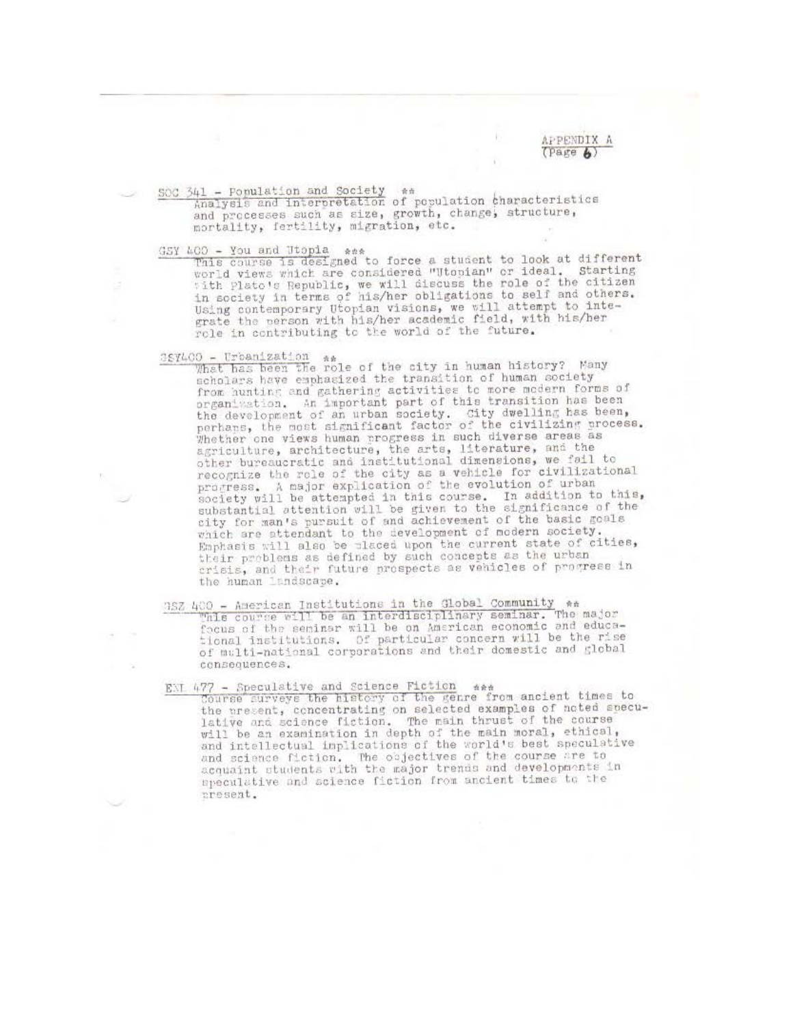APPENDIX A  $(Parge$   $\&)$ 

SOC 341 - Population and Society \*\* Analysis and interpretation of population characteristics and processes such as size, growth, change, structure, mortality, fertility, migration, etc.

 $\frac{35Y\ 100}$  - You and Utopia ass<br>This course is designed to force a student to look at different<br>world views which are considered "Utopian" or ideal, Starting with plato's Republic, we will discuss the role of the citizen in society in terms of his/her obligations to self and others. Using contemporary Utopian visions, we will attempt to inte-grate the person with his/her academic field, with his/her role in contributing to the world of the future.

387400 - Urbanization as a factor of the city in human history? Many scholars have emphasized the transition of human society from hunting and gathering activities to more modern forms of organization. An important part of this transition has been the development of an urban society. City dwelling has been, perhans, the most significant factor of the civilizing process. Whether one views human progress in such diverse areas as agriculture, architecture, the arts, literature, and the other bureaucratic and institutional dimensions, we fail to recognize the role of the city as a vehicle for civilizational<br>progress. A major explication of the evolution of urban<br>society will be attempted in this course. In addition to this, substantial attention will be given to the significance of the city for man's pursuit of and achievement of the basic goals<br>which are attendant to the development of modern society. Emphasis will also be placed upon the current state of cities, their problems as defined by such concepts as the urban crisis, and their future prospects as vehicles of progress in the human landscape.

352 400 - American Institutions in the Global Community es This course will be an interdisciplinary seminar. focus of the seminar will be on American economic and educational institutions. Of particular concern will be the rise of multi-national corporations and their domestic and global consequences.

ENI 477 - Speculative and Science Fiction \*\*\* Course surveys the history of the genre from ancient times to<br>the present, concentrating on selected examples of noted speculative and science fiction. The main thrust of the course will be an examination in depth of the main moral, ethical and intellectual implications of the world's best speculative and science fiction. The objectives of the course are to acquaint students with the major trends and developments in speculative and science fiction from ancient times to the present.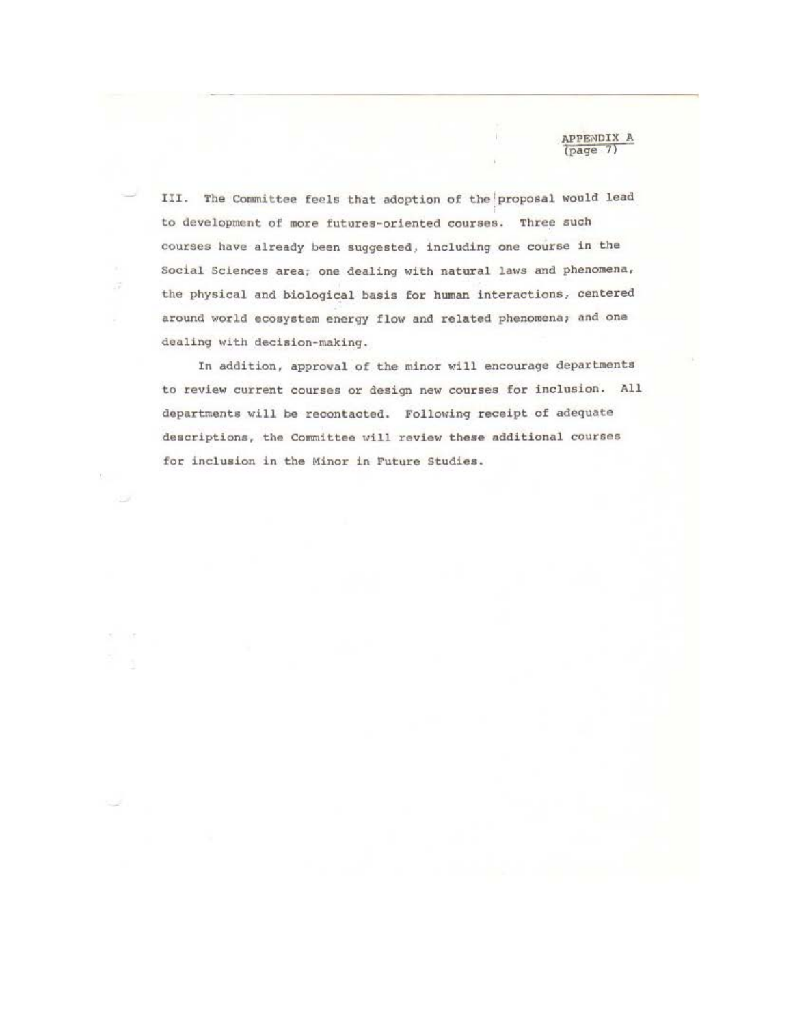III. The Committee feels that adoption of the proposal would lead to development of more futures-oriented courses. Three such courses have already been suggested, including one course in the Social sciences area, one dealing with natural laws and phenomena, the physical and biological basis for human interactions, centered around world ecosystem energy flow and related phenomena; and one dealing with decision-making.

**APPENDIX A** (page 7)

In addition, approval of the minor will encourage departments to review current courses or design new courses for inclusion. All departments will be recontacted. Following receipt of adequate descriptions, the Committee will review these additional courses for inclusion in the Minor in Future Studies.